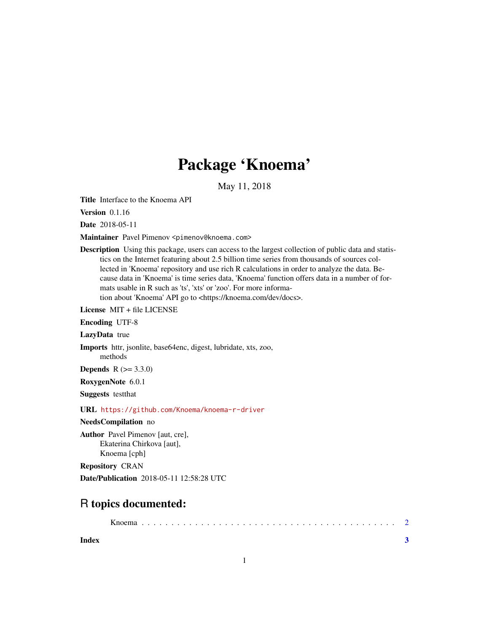## Package 'Knoema'

May 11, 2018

Title Interface to the Knoema API

Version 0.1.16

Date 2018-05-11

Maintainer Pavel Pimenov <pimenov@knoema.com>

Description Using this package, users can access to the largest collection of public data and statistics on the Internet featuring about 2.5 billion time series from thousands of sources collected in 'Knoema' repository and use rich R calculations in order to analyze the data. Because data in 'Knoema' is time series data, 'Knoema' function offers data in a number of formats usable in R such as 'ts', 'xts' or 'zoo'. For more information about 'Knoema' API go to <https://knoema.com/dev/docs>.

License MIT + file LICENSE

Encoding UTF-8

LazyData true

Imports httr, jsonlite, base64enc, digest, lubridate, xts, zoo, methods

**Depends** R  $(>= 3.3.0)$ 

RoxygenNote 6.0.1

Suggests testthat

URL <https://github.com/Knoema/knoema-r-driver>

NeedsCompilation no

Author Pavel Pimenov [aut, cre], Ekaterina Chirkova [aut], Knoema [cph]

Repository CRAN

Date/Publication 2018-05-11 12:58:28 UTC

### R topics documented:

**Index** [3](#page-2-0)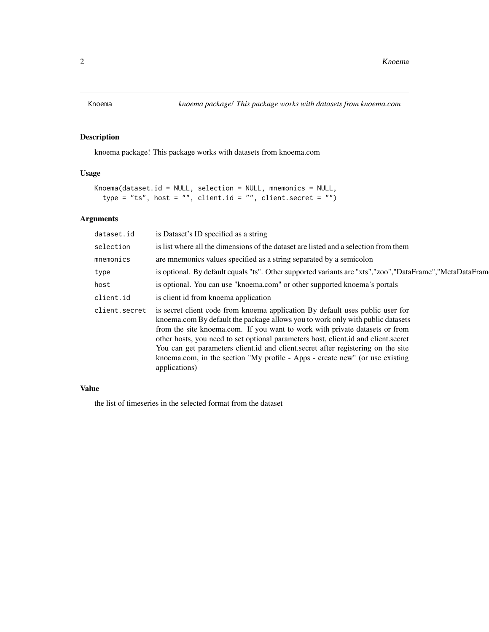<span id="page-1-0"></span>

#### Description

knoema package! This package works with datasets from knoema.com

#### Usage

```
Knoema(dataset.id = NULL, selection = NULL, mnemonics = NULL,
type = "ts", host = "", client.id = "", client.secret = "")
```
#### Arguments

| dataset.id    | is Dataset's ID specified as a string                                                                                                                                                                                                                                                                                                                                                                                                                                                                                     |
|---------------|---------------------------------------------------------------------------------------------------------------------------------------------------------------------------------------------------------------------------------------------------------------------------------------------------------------------------------------------------------------------------------------------------------------------------------------------------------------------------------------------------------------------------|
| selection     | is list where all the dimensions of the dataset are listed and a selection from them                                                                                                                                                                                                                                                                                                                                                                                                                                      |
| mnemonics     | are mnemonics values specified as a string separated by a semicolon                                                                                                                                                                                                                                                                                                                                                                                                                                                       |
| type          | is optional. By default equals "ts". Other supported variants are "xts", "zoo", "DataFrame", "MetaDataFram                                                                                                                                                                                                                                                                                                                                                                                                                |
| host          | is optional. You can use "knoema.com" or other supported knoema's portals                                                                                                                                                                                                                                                                                                                                                                                                                                                 |
| client.id     | is client id from knoema application                                                                                                                                                                                                                                                                                                                                                                                                                                                                                      |
| client.secret | is secret client code from knoema application By default uses public user for<br>knoema.com By default the package allows you to work only with public datasets<br>from the site knoema.com. If you want to work with private datasets or from<br>other hosts, you need to set optional parameters host, client.id and client.secret<br>You can get parameters client.id and client.secret after registering on the site<br>knoema.com, in the section "My profile - Apps - create new" (or use existing<br>applications) |

#### Value

the list of timeseries in the selected format from the dataset